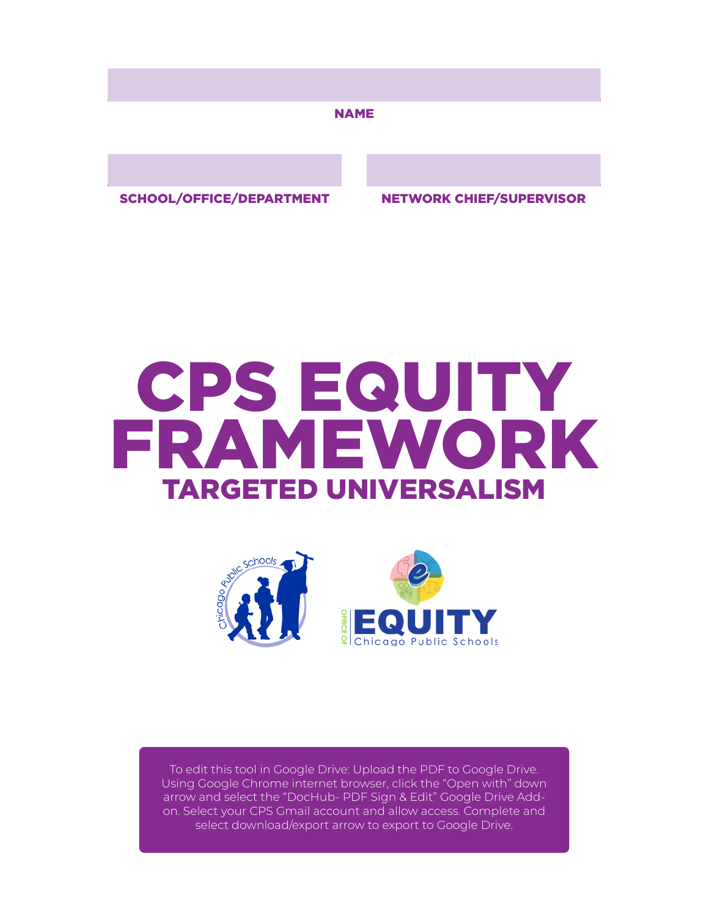#### NAME

SCHOOL/OFFICE/DEPARTMENT NETWORK CHIEF/SUPERVISOR

# TARGETED UNIVERSALISM CPS EQUITY FRAMEWORK



To edit this tool in Google Drive: Upload the PDF to Google Drive. Using Google Chrome internet browser, click the "Open with" down arrow and select the "DocHub- PDF Sign & Edit" Google Drive Addon. Select your CPS Gmail account and allow access. Complete and select download/export arrow to export to Google Drive.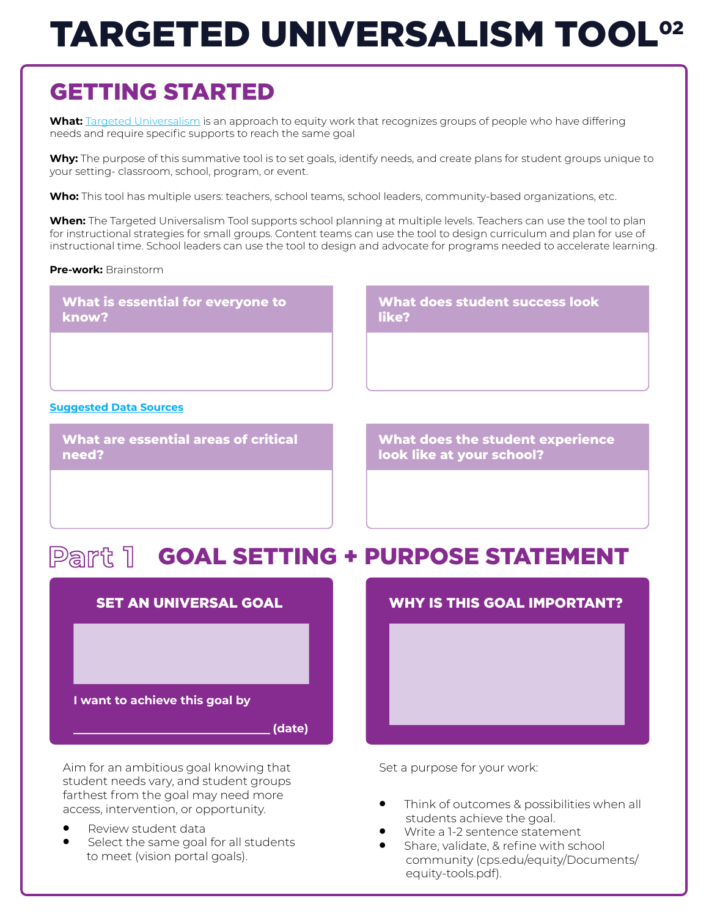# TARGETED UNIVERSALISM TOOL 02

## GETTING STARTED

**What:** [Targeted Universalism](https://equity.cps.edu/equity-framework/equity-in-cps/targeted-universalism) is an approach to equity work that recognizes groups of people who have differing needs and require specific supports to reach the same goal

**Why:** The purpose of this summative tool is to set goals, identify needs, and create plans for student groups unique to your setting- classroom, school, program, or event.

**Who:** This tool has multiple users: teachers, school teams, school leaders, community-based organizations, etc.

**When:** The Targeted Universalism Tool supports school planning at multiple levels. Teachers can use the tool to plan for instructional strategies for small groups. Content teams can use the tool to design curriculum and plan for use of instructional time. School leaders can use the tool to design and advocate for programs needed to accelerate learning.

#### **Pre-work:** Brainstorm

**What is essential for everyone to know?**

**What does student success look like?**

#### **[Suggested Data Sources](https://docs.google.com/presentation/d/14iE97GgJ2qxyq9ESJUA07GUngpiLSEifXX9gb7Cs6ok/edit#slide=id.g8070761a17_0_2)**

**What are essential areas of critical need?**

**What does the student experience look like at your school?**

### Part 1 GOAL SETTING + PURPOSE STATEMENT



Aim for an ambitious goal knowing that student needs vary, and student groups farthest from the goal may need more access, intervention, or opportunity.

- Review student data
- Select the same goal for all students to meet (vision portal goals).



Set a purpose for your work:

- Think of outcomes & possibilities when all students achieve the goal.
- Write a 1-2 sentence statement
- Share, validate, & refine with school community (cps.edu/equity/Documents/ equity-tools.pdf).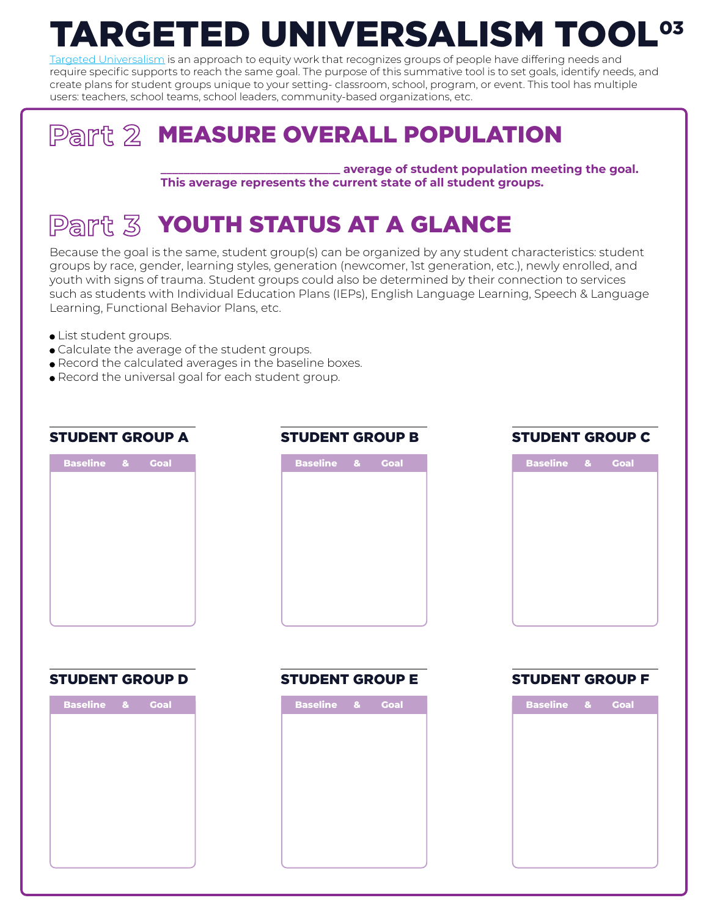#### TARGETED UNIVERSALISM TOOL 03

[Targeted Universalism](https://equity.cps.edu/equity-framework/equity-in-cps/targeted-universalism) is an approach to equity work that recognizes groups of people have differing needs and require specific supports to reach the same goal. The purpose of this summative tool is to set goals, identify needs, and create plans for student groups unique to your setting- classroom, school, program, or event. This tool has multiple users: teachers, school teams, school leaders, community-based organizations, etc.

## Part 2 MEASURE OVERALL POPULATION

**\_\_\_\_\_\_\_\_\_\_\_\_\_\_\_\_\_\_\_\_\_\_\_\_\_\_\_\_\_\_\_ average of student population meeting the goal. This average represents the current state of all student groups.**

## Part **3 Youth Status at a Glance**

Because the goal is the same, student group(s) can be organized by any student characteristics: student groups by race, gender, learning styles, generation (newcomer, 1st generation, etc.), newly enrolled, and youth with signs of trauma. Student groups could also be determined by their connection to services such as students with Individual Education Plans (IEPs), English Language Learning, Speech & Language Learning, Functional Behavior Plans, etc.

- List student groups.
- Calculate the average of the student groups.
- Record the calculated averages in the baseline boxes.
- Record the universal goal for each student group.

#### STUDENT GROUP A

| Baseline & | <b>Goal</b> |  |
|------------|-------------|--|
|            |             |  |
|            |             |  |
|            |             |  |
|            |             |  |
|            |             |  |
|            |             |  |
|            |             |  |
|            |             |  |

#### STUDENT GROUP B



#### STUDENT GROUP C

| <b>Baseline</b> & | <b>Goal</b> |  |
|-------------------|-------------|--|
|                   |             |  |
|                   |             |  |
|                   |             |  |
|                   |             |  |
|                   |             |  |
|                   |             |  |
|                   |             |  |
|                   |             |  |
|                   |             |  |

#### STUDENT GROUP D



#### STUDENT GROUP E

| <b>Baseline</b> | $\mathbf{a}$ | <b>Goal</b> |  |
|-----------------|--------------|-------------|--|
|                 |              |             |  |
|                 |              |             |  |
|                 |              |             |  |
|                 |              |             |  |
|                 |              |             |  |
|                 |              |             |  |
|                 |              |             |  |
|                 |              |             |  |
|                 |              |             |  |

#### STUDENT GROUP F

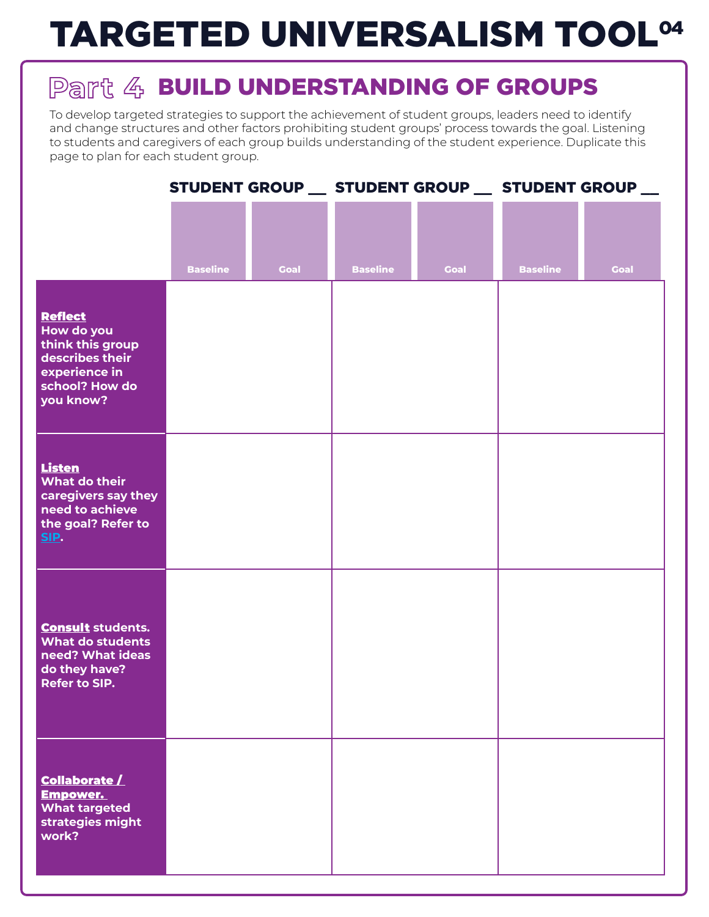# TARGETED UNIVERSALISM TOOL 04

## Part 4 BUILD UNDERSTANDING OF GROUPS

To develop targeted strategies to support the achievement of student groups, leaders need to identify and change structures and other factors prohibiting student groups' process towards the goal. Listening to students and caregivers of each group builds understanding of the student experience. Duplicate this page to plan for each student group.

|                                                                                                                     |                 |             | STUDENT GROUP __ STUDENT GROUP __ STUDENT GROUP __ |             |                 |             |
|---------------------------------------------------------------------------------------------------------------------|-----------------|-------------|----------------------------------------------------|-------------|-----------------|-------------|
|                                                                                                                     | <b>Baseline</b> | <b>Goal</b> | <b>Baseline</b>                                    | <b>Goal</b> | <b>Baseline</b> | <b>Goal</b> |
| <b>Reflect</b><br>How do you<br>think this group<br>describes their<br>experience in<br>school? How do<br>you know? |                 |             |                                                    |             |                 |             |
| <b>Listen</b><br>What do their<br>caregivers say they<br>need to achieve<br>the goal? Refer to<br>SIP.              |                 |             |                                                    |             |                 |             |
| <b>Consult students.</b><br><b>What do students</b><br>need? What ideas<br>do they have?<br>Refer to SIP.           |                 |             |                                                    |             |                 |             |
| <b>Collaborate /</b><br><b>Empower.</b><br><b>What targeted</b><br>strategies might<br>work?                        |                 |             |                                                    |             |                 |             |